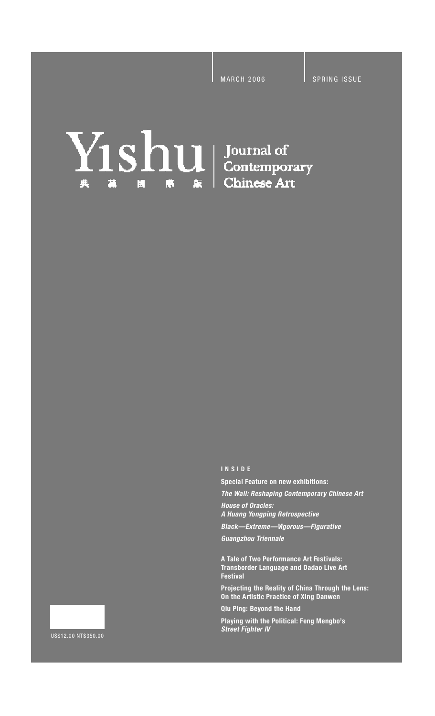# **Yishul** Journal of Contemporary **Chinese Art** 典 麓 E 麖

**I N S I D E**

**Special Feature on new exhibitions:** 

*The Wall: Reshaping Contemporary Chinese Art House of Oracles:*

*A Huang Yongping Retrospective*

**Black—Extreme—Vigorous—Figurative** 

*Guangzhou Triennale* 

**A Tale of Two Performance Art Fe s t i va l s : Transborder Language and Dadao Live Art Festival** 

**Projecting the Reality of China Through the Lens: On the Artistic Practice of Xing Danwen**

**Qiu Ping: Beyond the Hand**

**Playing with the Political: Feng Mengbo's** *Street Fighter IV*

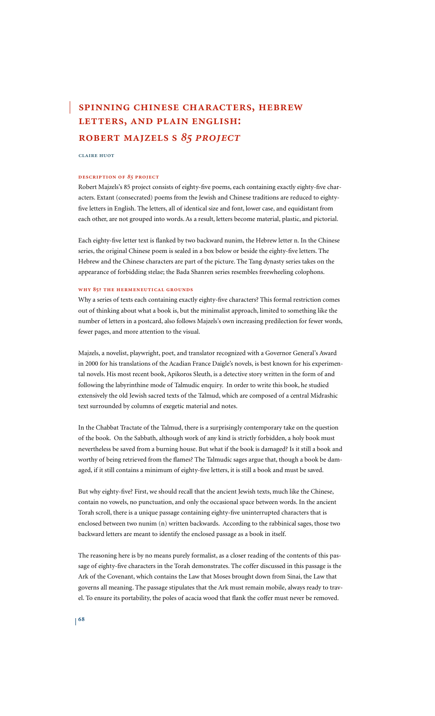# **spɪɴɴɪɴɢ cʜɪɴese cʜaʀacteʀs, ʜeʙʀew ʟetteʀs, aɴd pʟaɪɴ eɴɢʟɪsʜ: ʀoʙeʀt majzeʟs s** *85 pʀoject*

**cʟaɪʀe ʜuot**

#### **descʀɪptɪoɴ of** *85* **pʀoject**

Robert Majzels's 85 project consists of eighty-five poems, each containing exactly eighty-five characters. Extant (consecrated) poems from the Jewish and Chinese traditions are reduced to eightyfive letters in English. The letters, all of identical size and font, lower case, and equidistant from each other, are not grouped into words.As a result, letters become material, plastic, and pictorial.

Each eighty-five letter text is flanked by two backward nunim, the Hebrew letter n. In the Chinese series, the original Chinese poem is sealed in a box below or beside the eighty-five letters. The Hebrew and the Chinese characters are part of the picture. The Tang dynasty series takes on the appearance of forbidding stelae; the Bada Shanren series resembles freewheeling colophons.

# **wʜʏ 85﹖ tʜe ʜeʀmeɴeutɪcaʟ ɢʀouɴds**

Why a series of texts each containing exactly eighty-five characters? This formal restriction comes out of thinking about what a book is, but the minimalist approach, limited to something like the number of letters in a postcard, also follows Majzels's own increasing predilection for fewer words, fewer pages, and more attention to the visual.

Majzels, a novelist, playwright, poet, and translator recognized with a Governor General's Award in 2000 for his translations of the Acadian France Daigle's novels, is best known for his experimental novels. His most recent book, Apikoros Sleuth, is a detective story written in the form of and following the labyrinthine mode of Talmudic enquiry. In order to write this book, he studied extensively the old Jewish sacred texts of the Talmud, which are composed of a central Midrashic text surrounded by columns of exegetic material and notes.

In the Chabbat Tractate of the Talmud, there is a surprisingly contemporary take on the question of the book. On the Sabbath, although work of any kind is strictly forbidden, a holy book must nevertheless be saved from a burning house. But what if the book is damaged? Is it still a book and worthy of being retrieved from the flames? The Talmudic sages argue that, though a book be damaged, if it still contains a minimum of eighty-five letters, it is still a book and must be saved.

But why eighty-five? First, we should recall that the ancient Jewish texts, much like the Chinese, contain no vowels, no punctuation, and only the occasional space between words. In the ancient Torah scroll, there is a unique passage containing eighty-five uninterrupted characters that is enclosed between two nunim (n) written backwards. According to the rabbinical sages, those two backward letters are meant to identify the enclosed passage as a book in itself.

The reasoning here is by no means purely formalist, as a closer reading of the contents of this passage of eighty-five characters in the Torah demonstrates. The coffer discussed in this passage is the Ark of the Covenant, which contains the Law that Moses brought down from Sinai, the Law that governs all meaning. The passage stipulates that the Ark must remain mobile, always ready to travel. To ensure its portability, the poles of acacia wood that flank the coffer must never be removed.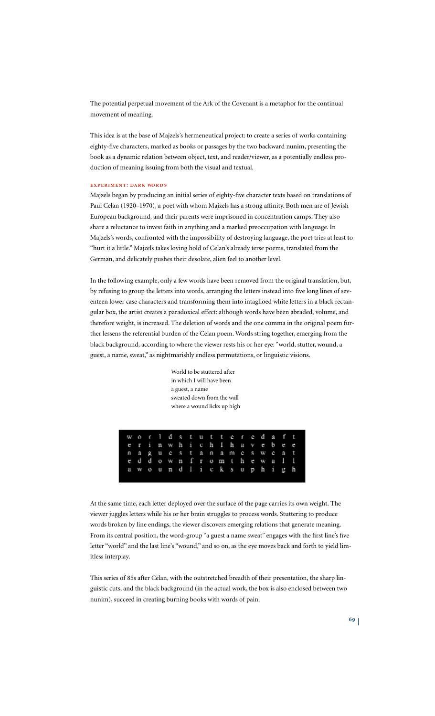The potential perpetual movement of the Ark of the Covenant is a metaphor for the continual movement of meaning.

This idea is at the base of Majzels's hermeneutical project: to create a series of works containing eighty-five characters, marked as books or passages by the two backward nunim, presenting the book as a dynamic relation between object, text, and reader/viewer, as a potentially endless production of meaning issuing from both the visual and textual.

# **expeʀɪmeɴt: daʀk woʀds**

Majzels began by producing an initial series of eighty-five character texts based on translations of Paul Celan (1920–1970), a poet with whom Majzels has a strong affinity. Both men are of Jewish European background, and their parents were imprisoned in concentration camps. They also share a reluctance to invest faith in anything and a marked preoccupation with language. In Majzels's words, confronted with the impossibility of destroying language, the poet tries at least to "hurt it a little." Majzels takes loving hold of Celan's already terse poems, translated from the German, and delicately pushes their desolate, alien feel to another level.

In the following example, only a few words have been removed from the original translation, but, by refusing to group the letters into words, arranging the letters instead into five long lines of seventeen lower case characters and transforming them into intaglioed white letters in a black rectangular box, the artist creates a paradoxical effect: although words have been abraded, volume, and therefore weight, is increased. The deletion of words and the one comma in the original poem further lessens the referential burden of the Celan poem. Words string together, emerging from the black background, according to where the viewer rests his or her eye: "world, stutter, wound, a guest, a name, sweat," as nightmarishly endless permutations, or linguistic visions.

> World to be stuttered after in which I will have been a guest, a name sweated down from the wall where a wound licks up high

|  |  |  |  |  |  | worldstutteredaft     |  |  |
|--|--|--|--|--|--|-----------------------|--|--|
|  |  |  |  |  |  | erin which I have bee |  |  |
|  |  |  |  |  |  | naguestanames weat    |  |  |
|  |  |  |  |  |  | eddown from thewall   |  |  |
|  |  |  |  |  |  | a wound licksuphigh   |  |  |
|  |  |  |  |  |  |                       |  |  |

At the same time, each letter deployed over the surface of the page carries its own weight. The viewer juggles letters while his or her brain struggles to process words. Stuttering to produce words broken by line endings, the viewer discovers emerging relations that generate meaning. From its central position, the word-group "a guest a name sweat" engages with the first line's five letter "world" and the last line's "wound," and so on, as the eye moves back and forth to yield limitless interplay.

This series of 85s after Celan, with the outstretched breadth of their presentation, the sharp linguistic cuts, and the black background (in the actual work, the box is also enclosed between two nunim), succeed in creating burning books with words of pain.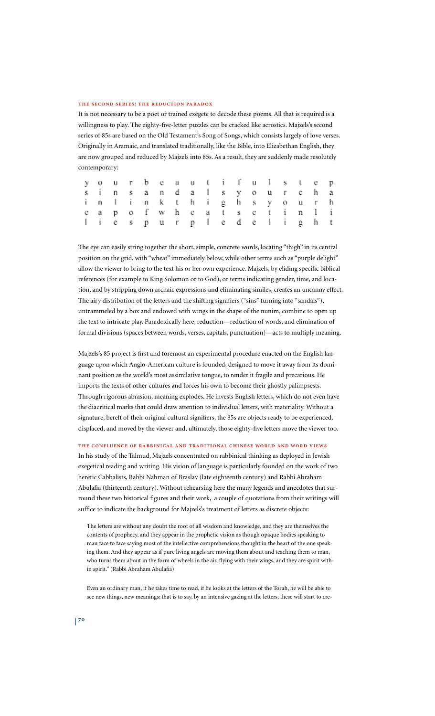#### **tʜe secoɴd seʀɪes: tʜe ʀeductɪoɴ paʀadox**

It is not necessary to be a poet or trained exegete to decode these poems. All that is required is a willingness to play. The eighty-five-letter puzzles can be cracked like acrostics. Majzels's second series of 85s are based on the Old Testament's Song of Songs, which consists largely of love verses. Originally in Aramaic, and translated traditionally, like the Bible, into Elizabethan English, they are now grouped and reduced by Majzels into 85s. As a result, they are suddenly made resolutely contemporary:

|  | your beautifulstep     |  |  |  |  |  |  |  |
|--|------------------------|--|--|--|--|--|--|--|
|  | sinsanda Isyourcha     |  |  |  |  |  |  |  |
|  | inlinkthigh syourh     |  |  |  |  |  |  |  |
|  | cap of wh cats ctin li |  |  |  |  |  |  |  |
|  | liespurpledelight      |  |  |  |  |  |  |  |

The eye can easily string together the short, simple, concrete words, locating "thigh" in its central position on the grid, with "wheat" immediately below, while other terms such as "purple delight" allow the viewer to bring to the text his or her own experience. Majzels, by eliding specific biblical references (for example to King Solomon or to God), or terms indicating gender, time, and location, and by stripping down archaic expressions and eliminating similes, creates an uncanny effect. The airy distribution of the letters and the shifting signifiers ("sins" turning into "sandals"), untrammeled by a box and endowed with wings in the shape of the nunim, combine to open up the text to intricate play. Paradoxically here, reduction—reduction of words, and elimination of formal divisions (spaces between words, verses, capitals, punctuation)—acts to multiply meaning.

Majzels's 85 project is first and foremost an experimental procedure enacted on the English language upon which Anglo-American culture is founded, designed to move it away from its dominant position as the world's most assimilative tongue, to render it fragile and precarious. He imports the texts of other cultures and forces his own to become their ghostly palimpsests. Through rigorous abrasion, meaning explodes. He invests English letters, which do not even have the diacritical marks that could draw attention to individual letters, with materiality. Without a signature, bereft of their original cultural signifiers, the 85s are objects ready to be experienced, displaced, and moved by the viewer and, ultimately, those eighty-five letters move the viewer too.

#### **tʜe coɴfʟueɴce of ʀaʙʙɪɴɪcaʟ aɴd tʀadɪtɪoɴaʟ cʜɪɴese woʀʟd aɴd woʀd vɪews**

In his study of the Talmud, Majzels concentrated on rabbinical thinking as deployed in Jewish exegetical reading and writing. His vision of language is particularly founded on the work of two heretic Cabbalists, Rabbi Nahman of Braslav (late eighteenth century) and Rabbi Abraham Abulafia (thirteenth century). Without rehearsing here the many legends and anecdotes that surround these two historical figures and their work, a couple of quotations from their writings will suffice to indicate the background for Majzels's treatment of letters as discrete objects:

The letters are without any doubt the root of all wisdom and knowledge, and they are themselves the contents of prophecy, and they appear in the prophetic vision as though opaque bodies speaking to man face to face saying most of the intellective comprehensions thought in the heart of the one speaking them. And they appear as if pure living angels are moving them about and teaching them to man, who turns them about in the form of wheels in the air, flying with their wings, and they are spirit within spirit." (Rabbi Abraham Abulafia)

Even an ordinary man, if he takes time to read, if he looks at the letters of the Torah, he will be able to see new things, new meanings; that is to say, by an intensive gazing at the letters, these will start to cre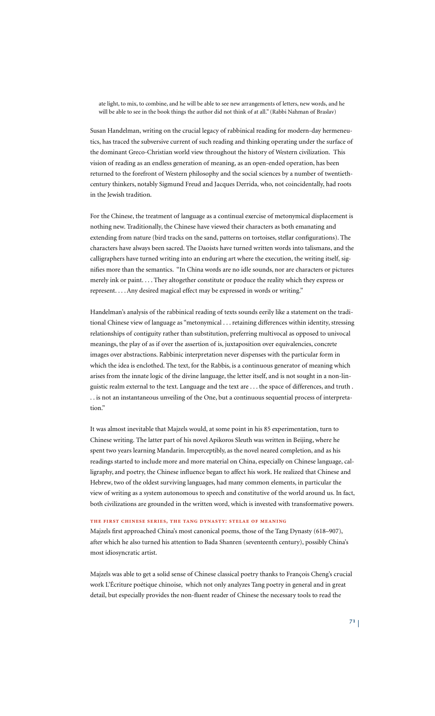ate light, to mix, to combine, and he will be able to see new arrangements of letters, new words, and he will be able to see in the book things the author did not think of at all." (Rabbi Nahman of Braslav)

Susan Handelman, writing on the crucial legacy of rabbinical reading for modern-day hermeneutics, has traced the subversive current of such reading and thinking operating under the surface of the dominant Greco-Christian world view throughout the history of Western civilization. This vision of reading as an endless generation of meaning, as an open-ended operation, has been returned to the forefront of Western philosophy and the social sciences by a number of twentiethcentury thinkers, notably Sigmund Freud and Jacques Derrida, who, not coincidentally, had roots in the Jewish tradition.

For the Chinese, the treatment of language as a continual exercise of metonymical displacement is nothing new. Traditionally, the Chinese have viewed their characters as both emanating and extending from nature (bird tracks on the sand, patterns on tortoises, stellar configurations). The characters have always been sacred. The Daoists have turned written words into talismans, and the calligraphers have turned writing into an enduring art where the execution, the writing itself, signifies more than the semantics. "In China words are no idle sounds, nor are characters or pictures merely ink or paint. . . . They altogether constitute or produce the reality which they express or represent. . . . Any desired magical effect may be expressed in words or writing."

Handelman's analysis of the rabbinical reading of texts sounds eerily like a statement on the traditional Chinese view of language as "metonymical . . . retaining differences within identity, stressing relationships of contiguity rather than substitution, preferring multivocal as opposed to univocal meanings, the play of as if over the assertion of is, juxtaposition over equivalencies, concrete images over abstractions. Rabbinic interpretation never dispenses with the particular form in which the idea is enclothed. The text, for the Rabbis, is a continuous generator of meaning which arises from the innate logic of the divine language, the letter itself, and is not sought in a non-linguistic realm external to the text. Language and the text are . . . the space of differences, and truth . . . is not an instantaneous unveiling of the One, but a continuous sequential process of interpretation."

It was almost inevitable that Majzels would, at some point in his 85 experimentation, turn to Chinese writing. The latter part of his novel Apikoros Sleuth was written in Beijing, where he spent two years learning Mandarin. Imperceptibly, as the novel neared completion, and as his readings started to include more and more material on China, especially on Chinese language, calligraphy, and poetry, the Chinese influence began to affect his work. He realized that Chinese and Hebrew, two of the oldest surviving languages, had many common elements, in particular the view of writing as a system autonomous to speech and constitutive of the world around us. In fact, both civilizations are grounded in the written word, which is invested with transformative powers.

# **tʜe fɪʀst cʜɪɴese seʀɪes, tʜe taɴɢ dʏɴastʏ: steʟae of meaɴɪɴɢ**

Majzels first approached China's most canonical poems, those of the Tang Dynasty (618–907), after which he also turned his attention to Bada Shanren (seventeenth century), possibly China's most idiosyncratic artist.

Majzels was able to get a solid sense of Chinese classical poetry thanks to François Cheng's crucial work L'Écriture poétique chinoise, which not only analyzes Tang poetry in general and in great detail, but especially provides the non-fluent reader of Chinese the necessary tools to read the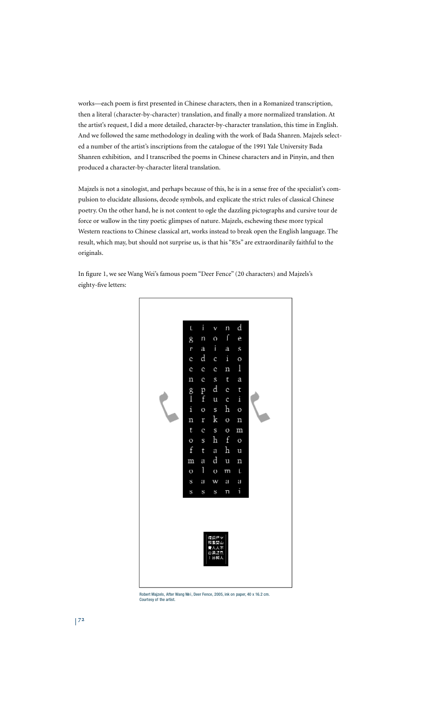works—each poem is first presented in Chinese characters, then in a Romanized transcription, then a literal (character-by-character) translation, and finally a more normalized translation. At the artist's request, I did a more detailed, character-by-character translation, this time in English. And we followed the same methodology in dealing with the work of Bada Shanren. Majzels selected a number of the artist's inscriptions from the catalogue of the 1991 Yale University Bada Shanren exhibition, and I transcribed the poems in Chinese characters and in Pinyin, and then produced a character-by-character literal translation.

Majzels is not a sinologist, and perhaps because of this, he is in a sense free of the specialist's compulsion to elucidate allusions, decode symbols, and explicate the strict rules of classical Chinese poetry. On the other hand, he is not content to ogle the dazzling pictographs and cursive tour de force or wallow in the tiny poetic glimpses of nature. Majzels, eschewing these more typical Western reactions to Chinese classical art, works instead to break open the English language. The result, which may, but should not surprise us, is that his "85s" are extraordinarily faithful to the originals.

In figure 1, we see Wang Wei's famous poem "Deer Fence" (20 characters) and Majzels's eighty-five letters:



Robert Majzels, After Wang Wei, Deer Fence, 2005, ink on paper, 40 x 16.2 cm. Courtesy of the artist.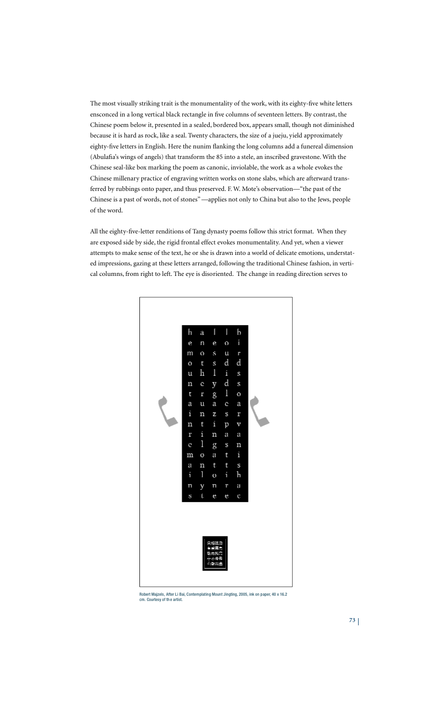The most visually striking trait is the monumentality of the work, with its eighty-five white letters ensconced in a long vertical black rectangle in five columns of seventeen letters. By contrast, the Chinese poem below it, presented in a sealed, bordered box, appears small, though not diminished because it is hard as rock, like a seal. Twenty characters, the size of a jueju, yield approximately eighty-five letters in English. Here the nunim flanking the long columns add a funereal dimension (Abulafia's wings of angels) that transform the 85 into a stele, an inscribed gravestone. With the Chinese seal-like box marking the poem as canonic, inviolable, the work as a whole evokes the Chinese millenary practice of engraving written works on stone slabs, which are afterward transferred by rubbings onto paper, and thus preserved. F. W. Mote's observation—"the past of the Chinese is a past of words, not of stones"—applies not only to China but also to the Jews, people of the word.

All the eighty-five-letter renditions of Tang dynasty poems follow this strict format. When they are exposed side by side, the rigid frontal effect evokes monumentality. And yet, when a viewer attempts to make sense of the text, he or she is drawn into a world of delicate emotions, understated impressions, gazing at these letters arranged, following the traditional Chinese fashion, in vertical columns, from right to left. The eye is disoriented. The change in reading direction serves to



Robert Majzels, After Li Bai, Contemplating Mount Jingting, 2005, ink on paper, 40 x 16.2<br>cm. Courtesy of the artist.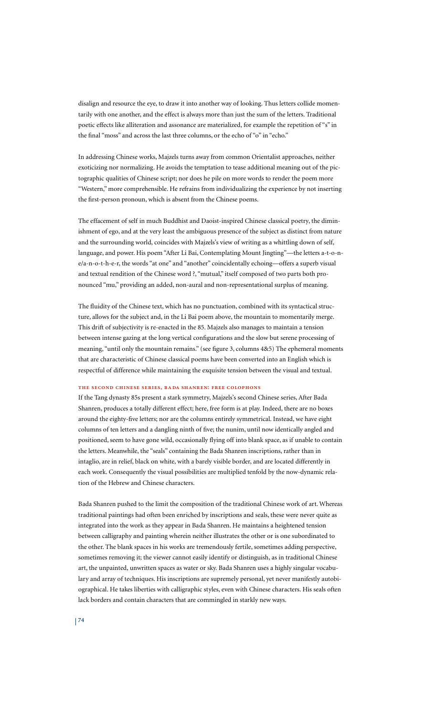disalign and resource the eye, to draw it into another way of looking. Thus letters collide momentarily with one another, and the effect is always more than just the sum of the letters. Traditional poetic effects like alliteration and assonance are materialized, for example the repetition of "s" in the final "moss" and across the last three columns, or the echo of "o" in "echo."

In addressing Chinese works, Majzels turns away from common Orientalist approaches, neither exoticizing nor normalizing. He avoids the temptation to tease additional meaning out of the pictographic qualities of Chinese script; nor does he pile on more words to render the poem more "Western," more comprehensible. He refrains from individualizing the experience by not inserting the first-person pronoun, which is absent from the Chinese poems.

The effacement of self in much Buddhist and Daoist-inspired Chinese classical poetry, the diminishment of ego, and at the very least the ambiguous presence of the subject as distinct from nature and the surrounding world, coincides with Majzels's view of writing as a whittling down of self, language, and power. His poem "After Li Bai, Contemplating Mount Jingting"—the letters a-t-o-ne/a-n-o-t-h-e-r, the words "at one" and "another" coincidentally echoing—offers a superb visual and textual rendition of the Chinese word ?, "mutual," itself composed of two parts both pronounced "mu," providing an added, non-aural and non-representational surplus of meaning.

The fluidity of the Chinese text, which has no punctuation, combined with its syntactical structure, allows for the subject and, in the Li Bai poem above, the mountain to momentarily merge. This drift of subjectivity is re-enacted in the 85. Majzels also manages to maintain a tension between intense gazing at the long vertical configurations and the slow but serene processing of meaning, "until only the mountain remains." (see figure 3, columns 4&5) The ephemeral moments that are characteristic of Chinese classical poems have been converted into an English which is respectful of difference while maintaining the exquisite tension between the visual and textual.

#### **tʜe secoɴd cʜɪɴese seʀɪes, ʙada sʜaɴʀeɴ: fʀee coʟopʜoɴs**

If the Tang dynasty 85s present a stark symmetry, Majzels's second Chinese series, After Bada Shanren, produces a totally different effect; here, free form is at play. Indeed, there are no boxes around the eighty-five letters; nor are the columns entirely symmetrical. Instead, we have eight columns of ten letters and a dangling ninth of five; the nunim, until now identically angled and positioned, seem to have gone wild, occasionally flying off into blank space, as if unable to contain the letters. Meanwhile, the "seals" containing the Bada Shanren inscriptions, rather than in intaglio, are in relief, black on white, with a barely visible border, and are located differently in each work. Consequently the visual possibilities are multiplied tenfold by the now-dynamic relation of the Hebrew and Chinese characters.

Bada Shanren pushed to the limit the composition of the traditional Chinese work of art. Whereas traditional paintings had often been enriched by inscriptions and seals, these were never quite as integrated into the work as they appear in Bada Shanren. He maintains a heightened tension between calligraphy and painting wherein neither illustrates the other or is one subordinated to the other. The blank spaces in his works are tremendously fertile, sometimes adding perspective, sometimes removing it; the viewer cannot easily identify or distinguish, as in traditional Chinese art, the unpainted, unwritten spaces as water or sky. Bada Shanren uses a highly singular vocabulary and array of techniques. His inscriptions are supremely personal, yet never manifestly autobiographical. He takes liberties with calligraphic styles, even with Chinese characters. His seals often lack borders and contain characters that are commingled in starkly new ways.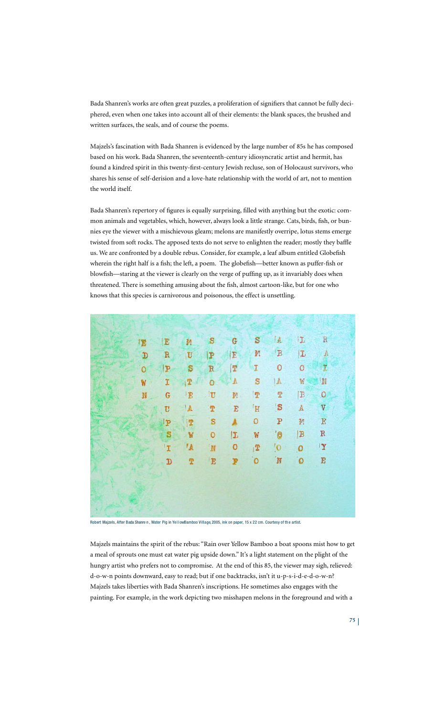Bada Shanren's works are often great puzzles, a proliferation of signifiers that cannot be fully deciphered, even when one takes into account all of their elements: the blank spaces, the brushed and written surfaces, the seals, and of course the poems.

Majzels's fascination with Bada Shanren is evidenced by the large number of 85s he has composed based on his work. Bada Shanren, the seventeenth-century idiosyncratic artist and hermit, has found a kindred spirit in this twenty-first-century Jewish recluse, son of Holocaust survivors, who shares his sense of self-derision and a love-hate relationship with the world of art, not to mention the world itself.

Bada Shanren's repertory of figures is equally surprising, filled with anything but the exotic: common animals and vegetables, which, however, always look a little strange. Cats, birds, fish, or bunnies eye the viewer with a mischievous gleam; melons are manifestly overripe, lotus stems emerge twisted from soft rocks. The apposed texts do not serve to enlighten the reader; mostly they baffle us. We are confronted by a double rebus. Consider, for example, a leaf album entitled Globefish wherein the right half is a fish; the left, a poem. The globefish—better known as puffer-fish or blowfish—staring at the viewer is clearly on the verge of puffing up, as it invariably does when threatened. There is something amusing about the fish, almost cartoon-like, but for one who knows that this species is carnivorous and poisonous, the effect is unsettling.

| 圍       | E           | И            | s                       | G            | S           | I.A.                                                                                                                                          | L            | $\mathbb R$ |  |
|---------|-------------|--------------|-------------------------|--------------|-------------|-----------------------------------------------------------------------------------------------------------------------------------------------|--------------|-------------|--|
| D       | $\mathbb R$ | $\mathbf U$  | P                       | E            | M           | $\, {\bf B}$                                                                                                                                  | $\mathbb{L}$ | A           |  |
| $\circ$ | P           | S            | $\mathbb R$             | $\mathbb T$  | I           | 0                                                                                                                                             | 0            | II          |  |
| W       | I           | 2            | $\overline{O}$          | $\hbox{\AA}$ | S           | $\mathbb A$                                                                                                                                   | W.           | N           |  |
| N       | G           | $\mathbb{E}$ | $\mathbf{T}$            | 碧。           | $\mathbb T$ | Τ                                                                                                                                             | $\mathbb B$  | $\mathbf O$ |  |
|         | U           | $\mathbf{A}$ | $\overline{\mathbf{T}}$ | $\mathbf E$  | E           | $\mathbb{S}% _{t}\left  \mathcal{H}\right  _{\mathcal{H}}\left  \mathcal{H}% _{t}\right  \leq\mathbb{E}_{t}\left  \mathcal{H}% _{t}\right  ,$ | $\mathbb A$  | V           |  |
|         | IP          | $\mathbf{T}$ | S                       | A            | o           | P                                                                                                                                             | M            | E           |  |
|         | S           | W            | $\circ$                 | I            | W           | '0                                                                                                                                            | B            | $\mathbb R$ |  |
|         | 'I          | 'A           | 'N                      | ٥            | 12          | $^{\prime}$ O                                                                                                                                 | $\bf{0}$     | Y           |  |
|         | D           | T            | E                       | P            | $\circ$     | $\overline{\mathbb{N}}$                                                                                                                       | $\circ$      | E           |  |
|         |             |              |                         |              |             |                                                                                                                                               |              |             |  |
|         |             |              |                         |              |             |                                                                                                                                               |              |             |  |
|         |             |              |                         |              |             |                                                                                                                                               |              |             |  |

Robert Majzels, After Bada Shanre n, Water Pig in Yell owBamboo Village, 2005, ink on paper, 15 x 22 cm. Courtesy of the artist.

Majzels maintains the spirit of the rebus: "Rain over Yellow Bamboo a boat spoons mist how to get a meal of sprouts one must eat water pig upside down." It's a light statement on the plight of the hungry artist who prefers not to compromise. At the end of this 85, the viewer may sigh, relieved: d-o-w-n points downward, easy to read; but if one backtracks, isn't it u-p-s-i-d-e-d-o-w-n? Majzels takes liberties with Bada Shanren's inscriptions. He sometimes also engages with the painting. For example, in the work depicting two misshapen melons in the foreground and with a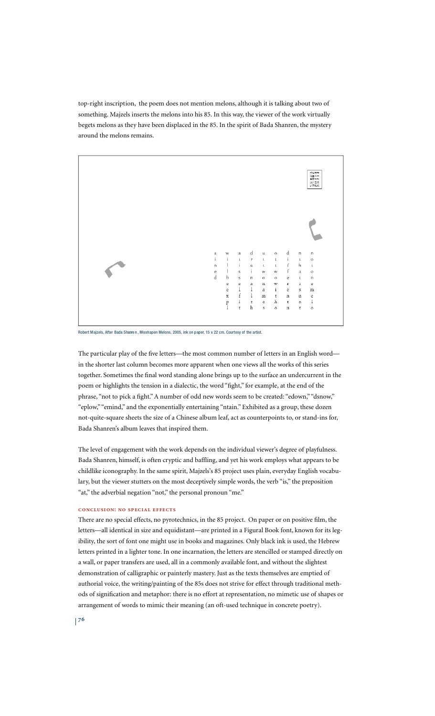top-right inscription, the poem does not mention melons, although it is talking about two of something. Majzels inserts the melons into his 85. In this way, the viewer of the work virtually begets melons as they have been displaced in the 85. In the spirit of Bada Shanren, the mystery around the melons remains.



Robert Majzels, After Bada Shanren, Misshapen Melons, 2005, ink on paper, 15 x 22 cm. Courtesy of the artist.

The particular play of the five letters—the most common number of letters in an English word in the shorter last column becomes more apparent when one views all the works of this series together. Sometimes the final word standing alone brings up to the surface an undercurrent in the poem or highlights the tension in a dialectic, the word "fight," for example, at the end of the phrase, "not to pick a fight."A number of odd new words seem to be created: "edown," "dsnow," "eplow," "emind," and the exponentially entertaining "ntain." Exhibited as a group, these dozen not-quite-square sheets the size of a Chinese album leaf, act as counterpoints to, or stand-ins for, Bada Shanren's album leaves that inspired them.

The level of engagement with the work depends on the individual viewer's degree of playfulness. Bada Shanren, himself, is often cryptic and baffling, and yet his work employs what appears to be childlike iconography. In the same spirit, Majzels's 85 project uses plain, everyday English vocabulary, but the viewer stutters on the most deceptively simple words, the verb "is," the preposition "at," the adverbial negation "not," the personal pronoun "me."

# **coɴcʟusɪoɴ: ɴo specɪaʟ effects**

There are no special effects, no pyrotechnics, in the 85 project. On paper or on positive film, the letters—all identical in size and equidistant—are printed in a Figural Book font, known for its legibility, the sort of font one might use in books and magazines. Only black ink is used, the Hebrew letters printed in a lighter tone. In one incarnation, the letters are stencilled or stamped directly on a wall, or paper transfers are used, all in a commonly available font, and without the slightest demonstration of calligraphic or painterly mastery. Just as the texts themselves are emptied of authorial voice, the writing/painting of the 85s does not strive for effect through traditional methods of signification and metaphor: there is no effort at representation, no mimetic use of shapes or arrangement of words to mimic their meaning (an oft-used technique in concrete poetry).